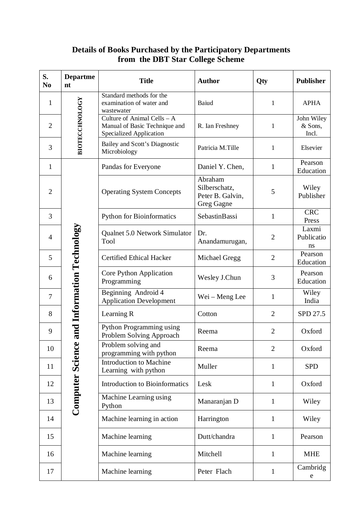| S.<br>N <sub>0</sub> | <b>Departme</b><br>nt                                 | <b>Title</b>                                                                            | <b>Author</b>                                                     | Qty            | <b>Publisher</b>               |
|----------------------|-------------------------------------------------------|-----------------------------------------------------------------------------------------|-------------------------------------------------------------------|----------------|--------------------------------|
| 1                    | <b>BIOTECCHNOLOGY</b>                                 | Standard methods for the<br>examination of water and<br>wastewater                      | Baiud                                                             | 1              | <b>APHA</b>                    |
| $\overline{2}$       |                                                       | Culture of Animal Cells - A<br>Manual of Basic Technique and<br>Specialized Application | R. Ian Freshney                                                   | 1              | John Wiley<br>& Sons,<br>Incl. |
| 3                    |                                                       | Bailey and Scott's Diagnostic<br>Microbiology                                           | Patricia M.Tille                                                  | 1              | Elsevier                       |
| $\mathbf{1}$         | and Information Technology<br><b>Computer Science</b> | Pandas for Everyone                                                                     | Daniel Y. Chen,                                                   | $\mathbf{1}$   | Pearson<br>Education           |
| $\overline{2}$       |                                                       | <b>Operating System Concepts</b>                                                        | Abraham<br>Silberschatz,<br>Peter B. Galvin,<br><b>Greg Gagne</b> | 5              | Wiley<br>Publisher             |
| 3                    |                                                       | <b>Python for Bioinformatics</b>                                                        | SebastinBassi                                                     | $\mathbf{1}$   | <b>CRC</b><br>Press            |
| 4                    |                                                       | Qualnet 5.0 Network Simulator<br>Tool                                                   | Dr.<br>Anandamurugan,                                             | $\overline{2}$ | Laxmi<br>Publicatio<br>ns      |
| 5                    |                                                       | <b>Certified Ethical Hacker</b>                                                         | Michael Gregg                                                     | $\mathbf{2}$   | Pearson<br>Education           |
| 6                    |                                                       | Core Python Application<br>Programming                                                  | Wesley J.Chun                                                     | 3              | Pearson<br>Education           |
| 7                    |                                                       | Beginning Android 4<br><b>Application Development</b>                                   | Wei - Meng Lee                                                    | 1              | Wiley<br>India                 |
| 8                    |                                                       | Learning R                                                                              | Cotton                                                            | $\overline{2}$ | SPD 27.5                       |
| 9                    |                                                       | Python Programming using<br>Problem Solving Approach                                    | Reema                                                             | $\overline{2}$ | Oxford                         |
| 10                   |                                                       | Problem solving and<br>programming with python                                          | Reema                                                             | $\overline{2}$ | Oxford                         |
| 11                   |                                                       | Introduction to Machine<br>Learning with python                                         | Muller                                                            | 1              | <b>SPD</b>                     |
| 12                   |                                                       | Introduction to Bioinformatics                                                          | Lesk                                                              | $\mathbf{1}$   | Oxford                         |
| 13                   |                                                       | Machine Learning using<br>Python                                                        | Manaranjan D                                                      | $\mathbf{1}$   | Wiley                          |
| 14                   |                                                       | Machine learning in action                                                              | Harrington                                                        | $\mathbf{1}$   | Wiley                          |
| 15                   |                                                       | Machine learning                                                                        | Dutt/chandra                                                      | $\mathbf{1}$   | Pearson                        |
| 16                   |                                                       | Machine learning                                                                        | Mitchell                                                          | $\mathbf{1}$   | <b>MHE</b>                     |
| 17                   |                                                       | Machine learning                                                                        | Peter Flach                                                       | $\mathbf{1}$   | Cambridg<br>${\rm e}$          |

## **Details of Books Purchased by the Participatory Departments from the DBT Star College Scheme**